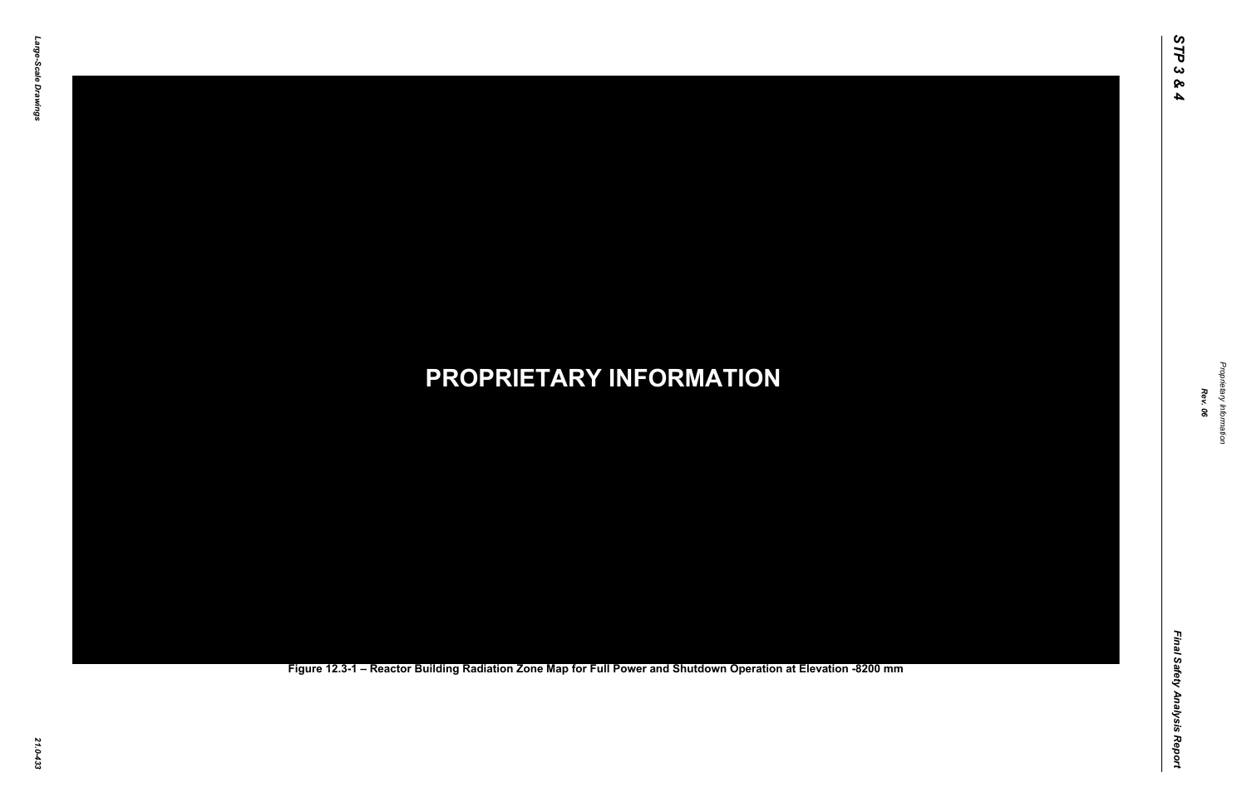Final Safety Analysis Report *Final Safety Analysis Report*

*Proprietary Information* Proprietary Information



### *21.0-433* **PROPRIETARY INFORMATION Figure 12.3-1 – Reactor Building Radiation Zone Map for Full Power and Shutdown Operation at Elevation -8200 mm**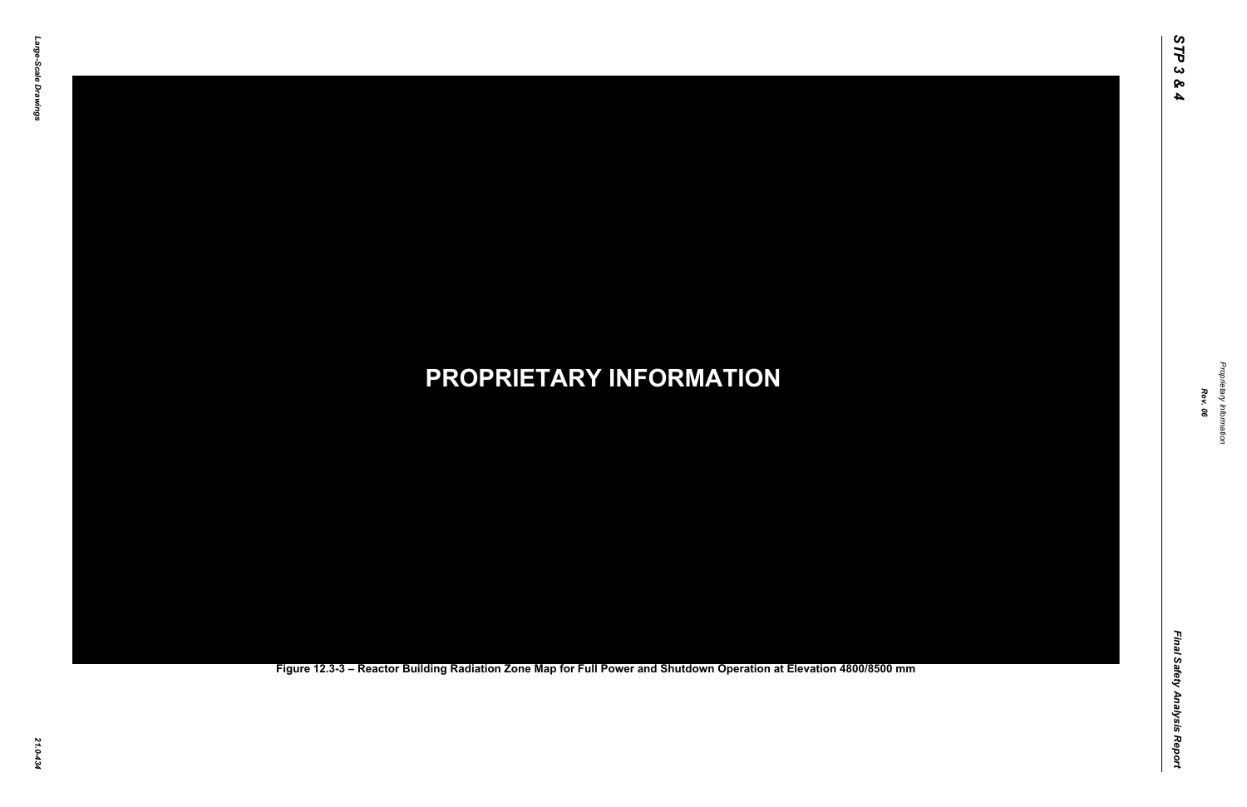Final Safety Analysis Report *Final Safety Analysis Report*

*Proprietary Information* Proprietary Information



### *21.0-434* **PROPRIETARY INFORMATION Figure 12.3-3 – Reactor Building Radiation Zone Map for Full Power and Shutdown Operation at Elevation 4800/8500 mm**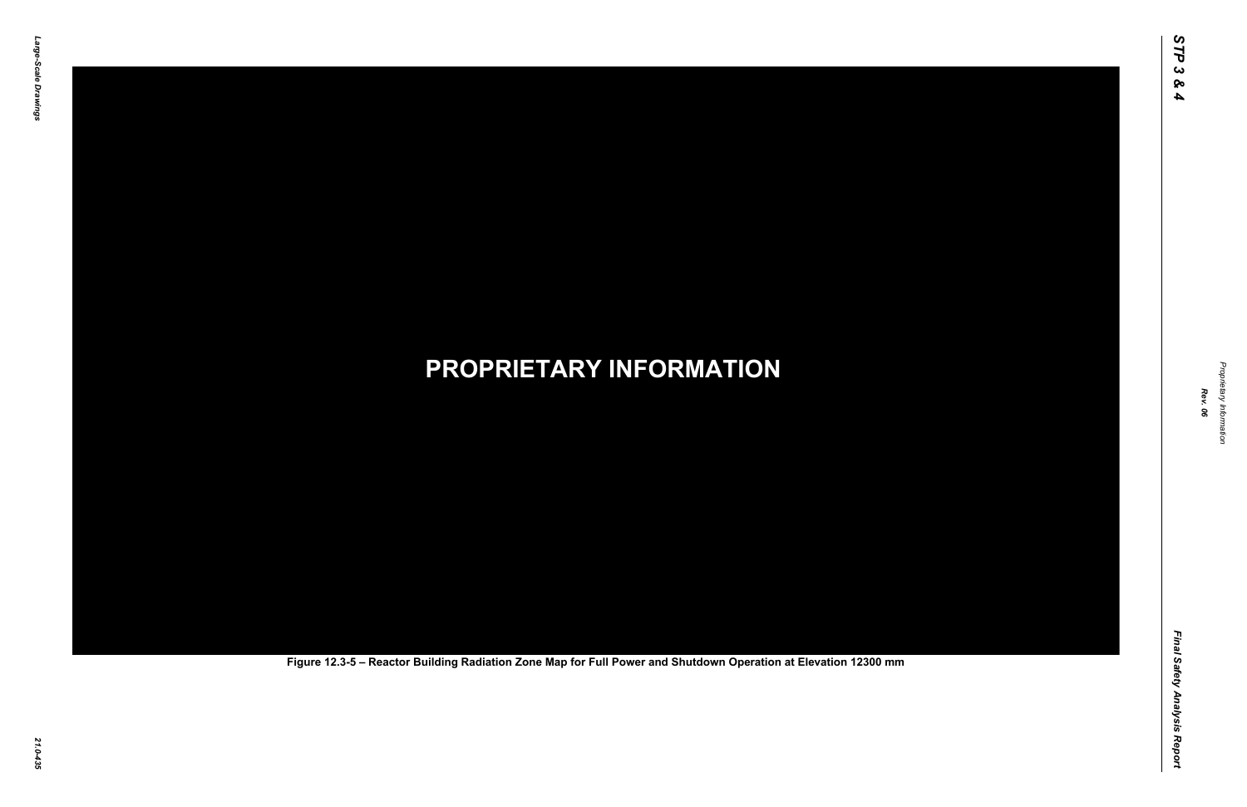Final Safety Analysis Report *Final Safety Analysis Report*

*Proprietary Information* Proprietary Information



# *21.0-435* **PROPRIETARY INFORMATION Figure 12.3-5 – Reactor Building Radiation Zone Map for Full Power and Shutdown Operation at Elevation 12300 mm**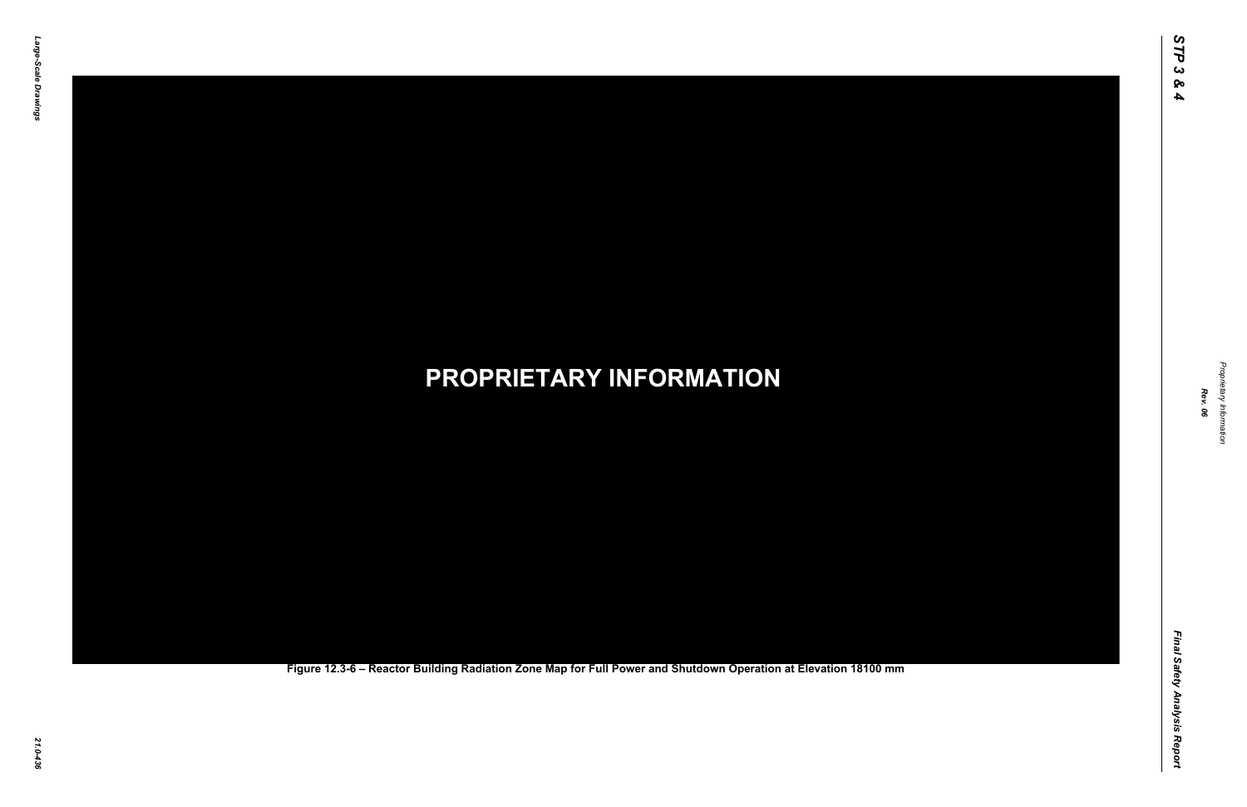Final Safety Analysis Report *Final Safety Analysis Report*

*Proprietary Information* Proprietary Information



### *21.0-436* **PROPRIETARY INFORMATION Figure 12.3-6 – Reactor Building Radiation Zone Map for Full Power and Shutdown Operation at Elevation 18100 mm**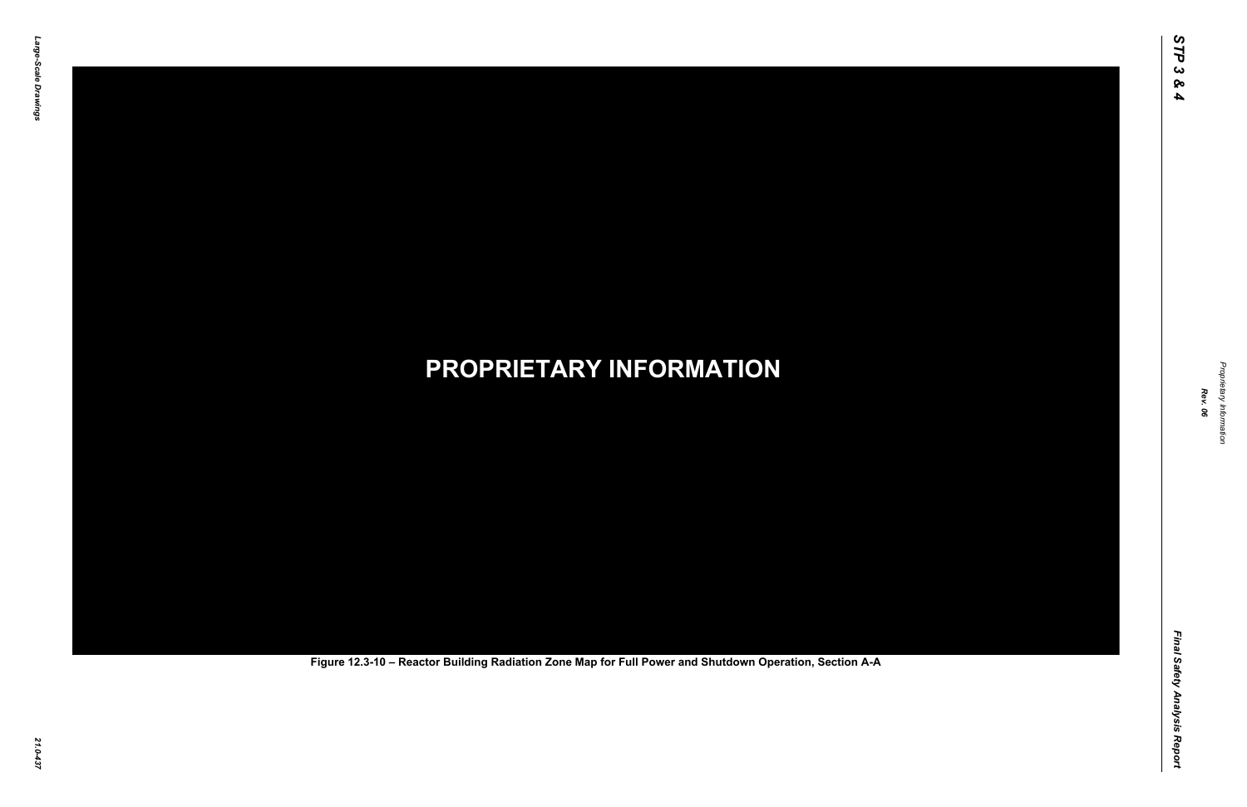Final Safety Analysis Report *Final Safety Analysis Report*



Proprietary Information *Proprietary Information*

# *21.0-437* **PROPRIETARY INFORMATION Figure 12.3-10 – Reactor Building Radiation Zone Map for Full Power and Shutdown Operation, Section A-A**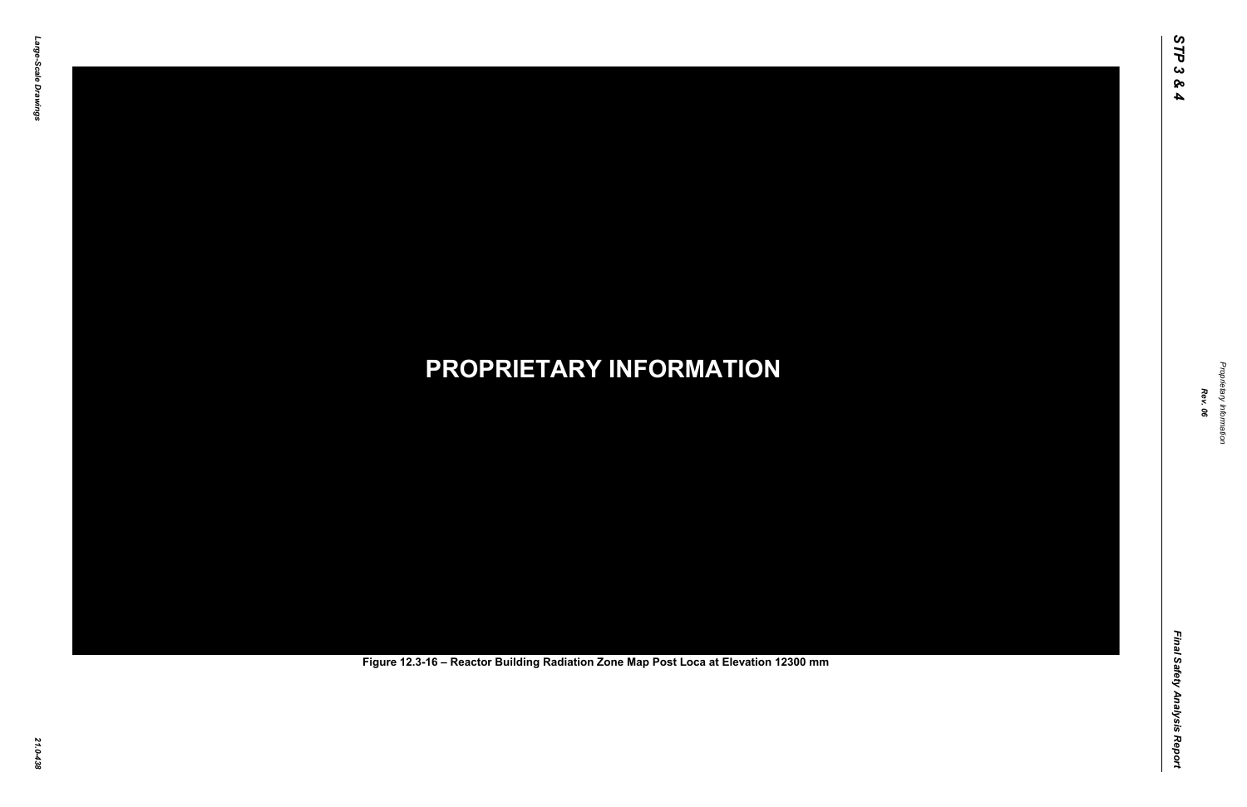Final Safety Analysis Report *Final Safety Analysis Report*



Proprietary Information *Proprietary Information*

# *21.0-438* **PROPRIETARY INFORMATION Figure 12.3-16 – Reactor Building Radiation Zone Map Post Loca at Elevation 12300 mm**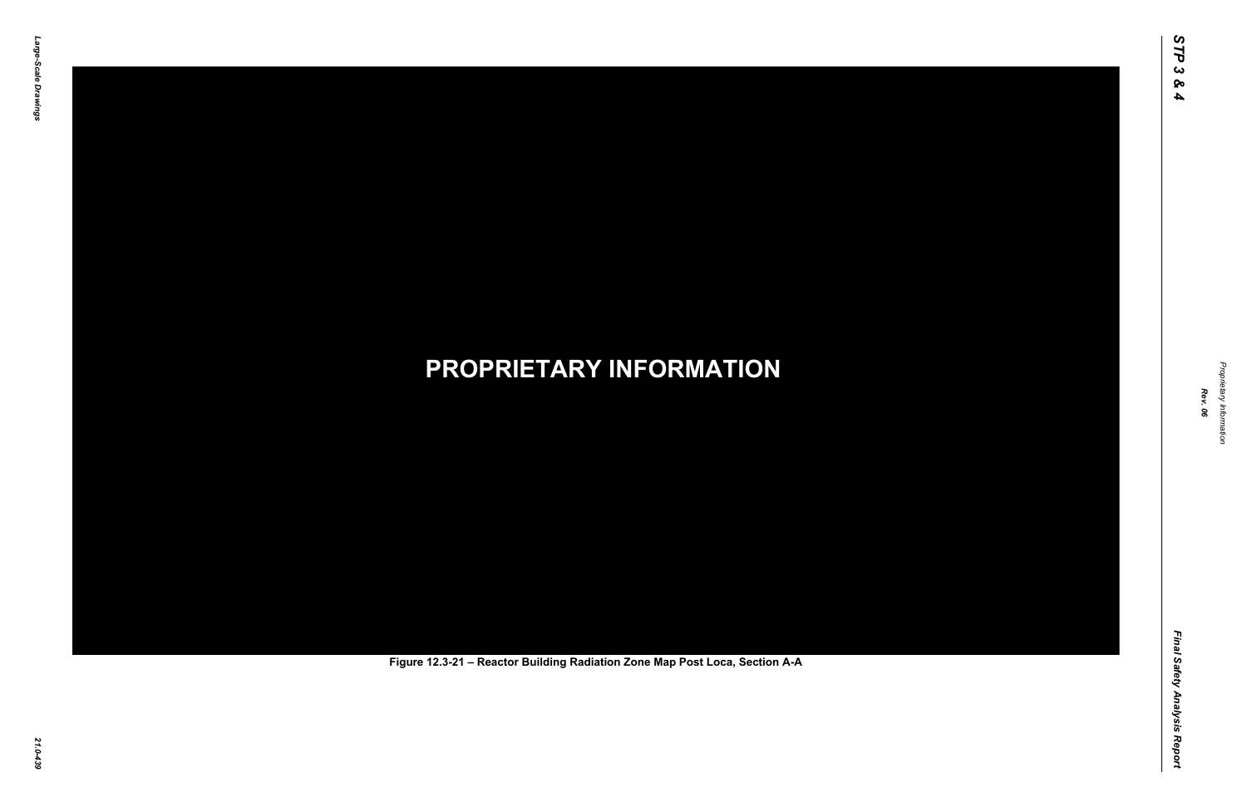Final Safety Analysis Report *Final Safety Analysis Report*



Proprietary Information *Proprietary Information*

# *21.0-439* **PROPRIETARY INFORMATION Figure 12.3-21 – Reactor Building Radiation Zone Map Post Loca, Section A-A**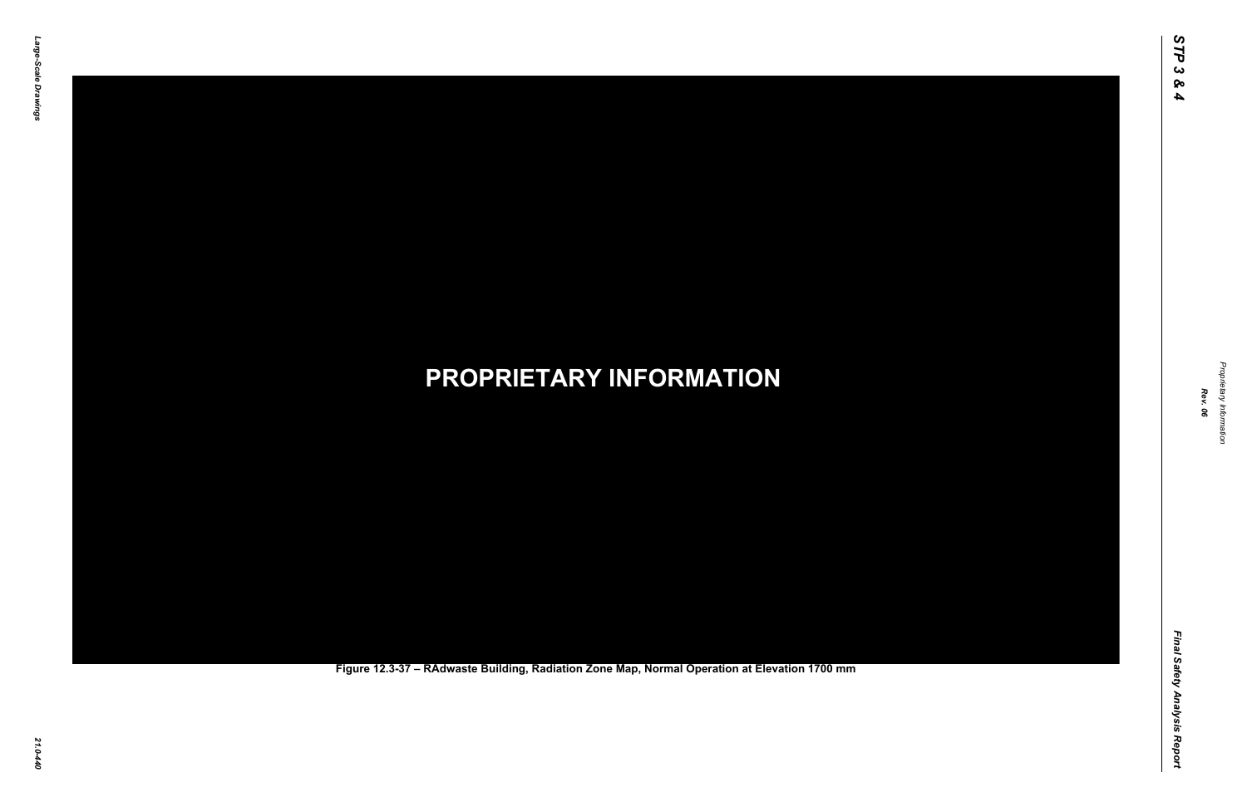Final Safety Analysis Report *Final Safety Analysis Report*



Proprietary Information *Proprietary Information*

### *21.0-440* **PROPRIETARY INFORMATION Figure 12.3-37 – RAdwaste Building, Radiation Zone Map, Normal Operation at Elevation 1700 mm**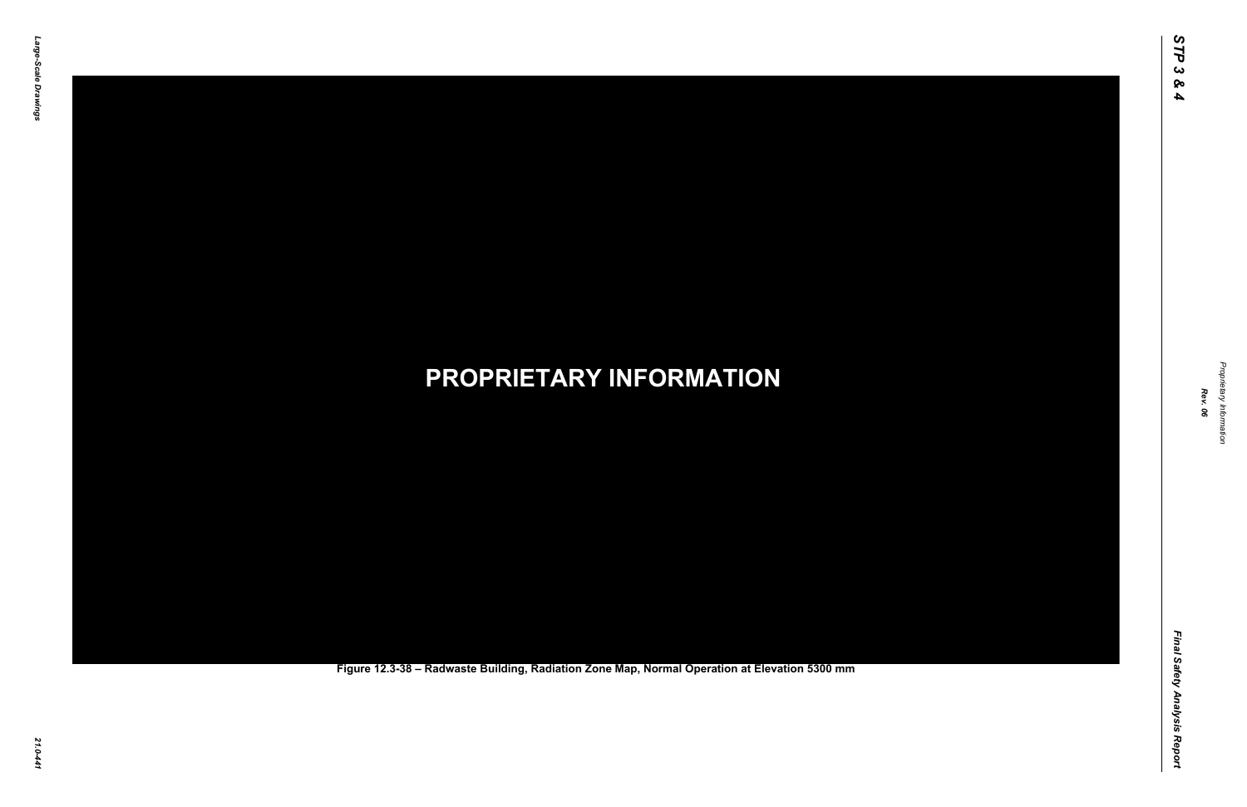Final Safety Analysis Report *Final Safety Analysis Report*

*Proprietary Information* Proprietary Information



### *21.0-441* **PROPRIETARY INFORMATION Figure 12.3-38 – Radwaste Building, Radiation Zone Map, Normal Operation at Elevation 5300 mm**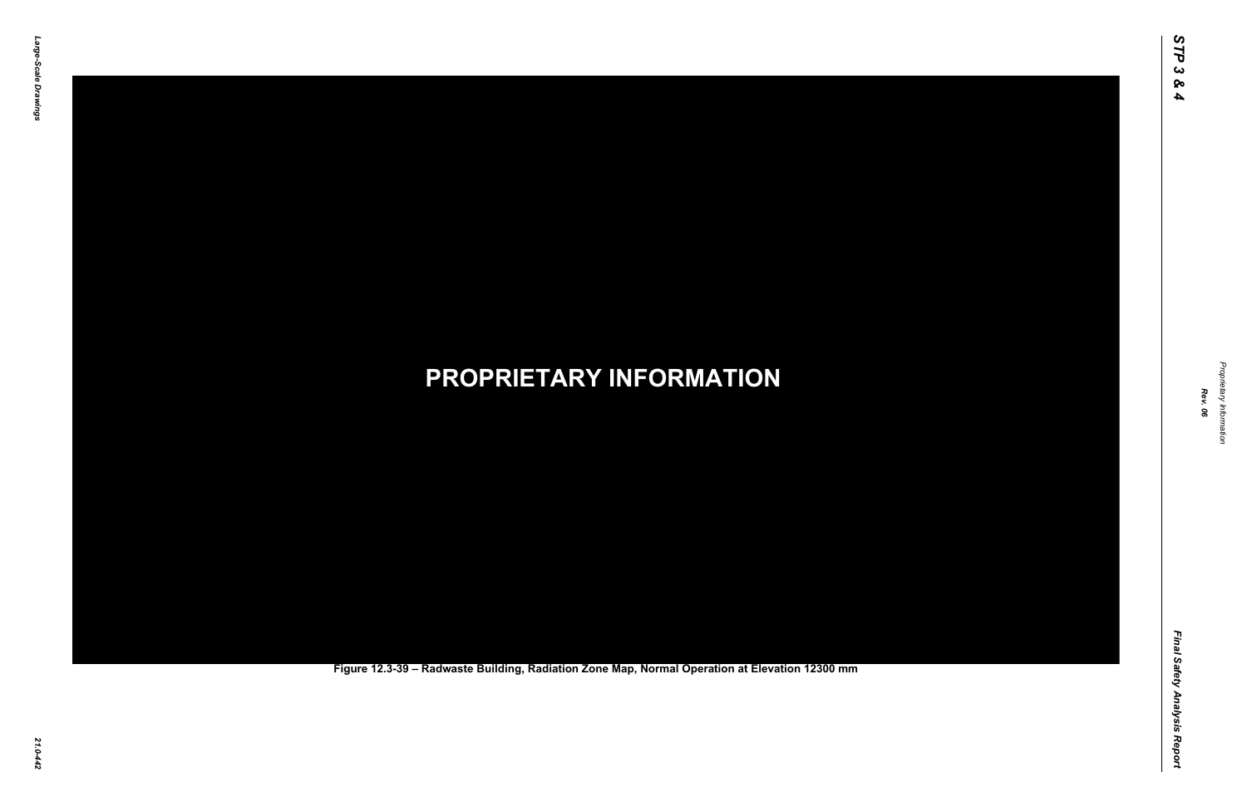Final Safety Analysis Report *Final Safety Analysis Report*



Proprietary Information *Proprietary Information*

### *21.0-442* **PROPRIETARY INFORMATION Figure 12.3-39 – Radwaste Building, Radiation Zone Map, Normal Operation at Elevation 12300 mm**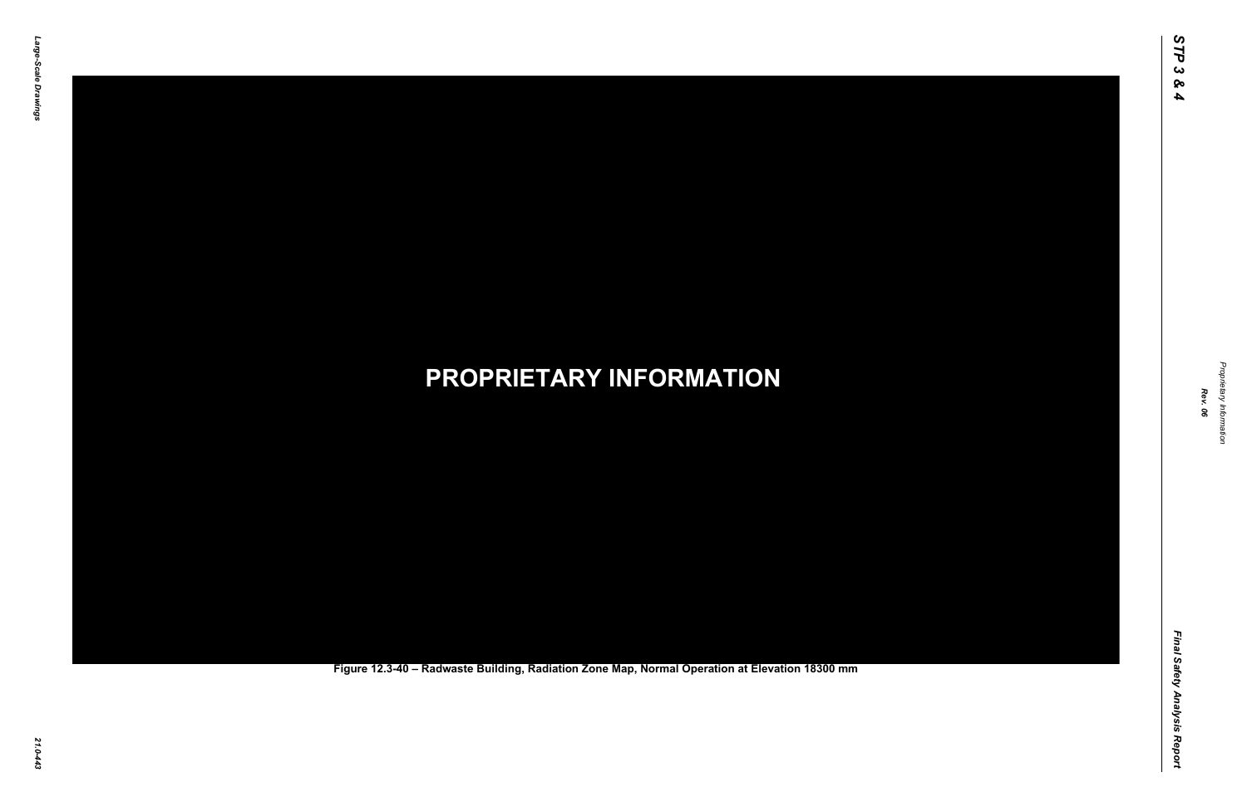Final Safety Analysis Report *Final Safety Analysis Report*

*Proprietary Information* Proprietary Information



### *21.0-443* **PROPRIETARY INFORMATION Figure 12.3-40 – Radwaste Building, Radiation Zone Map, Normal Operation at Elevation 18300 mm**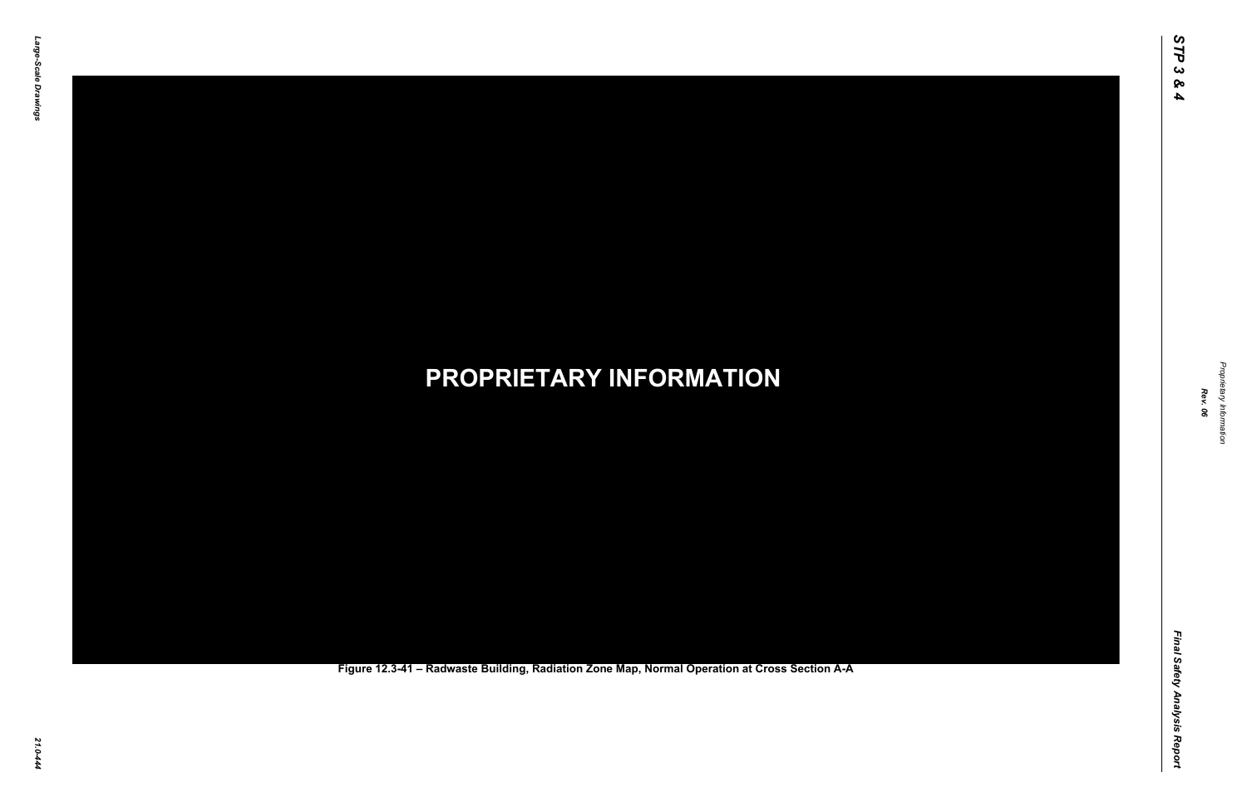Final Safety Analysis Report *Final Safety Analysis Report*

*Proprietary Information* Proprietary Information



*21.0-444* **PROPRIETARY INFORMATION Figure 12.3-41 – Radwaste Building, Radiation Zone Map, Normal Operation at Cross Section A-A**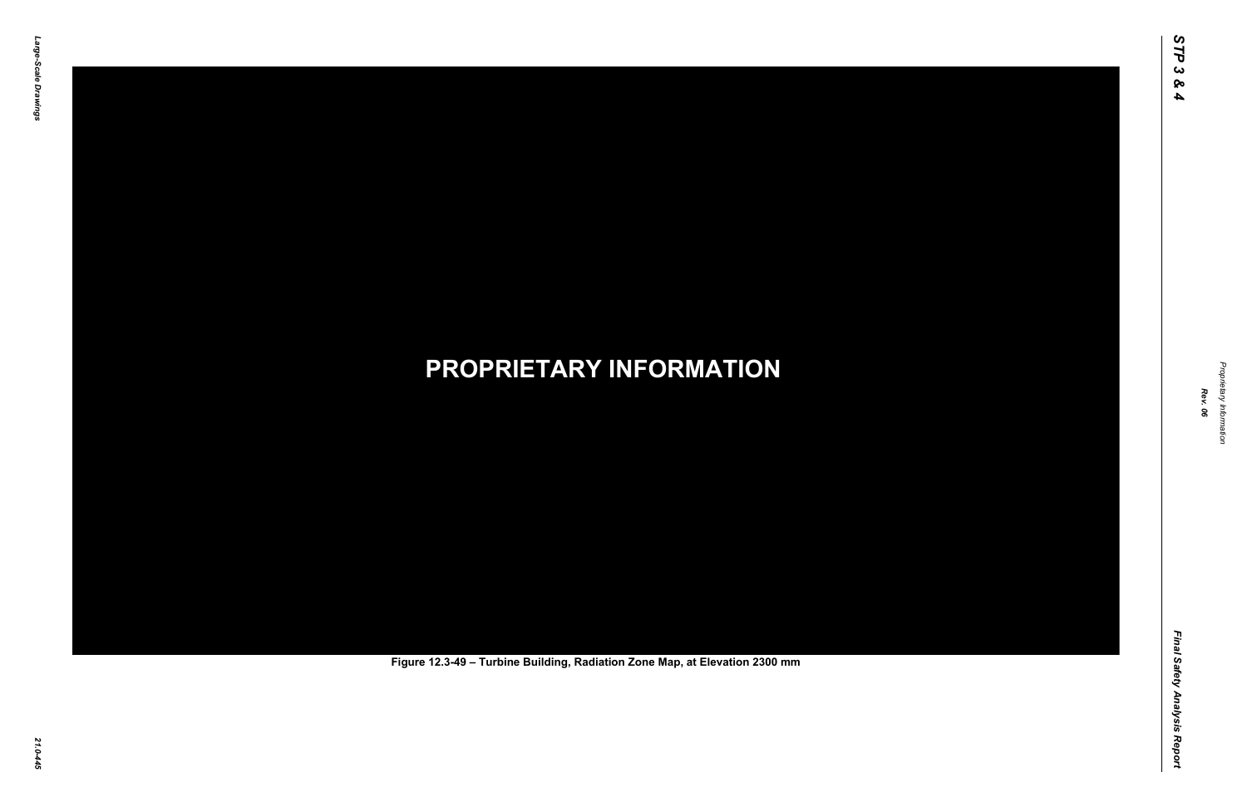Final Safety Analysis Report *Final Safety Analysis Report*



Proprietary Information *Proprietary Information*

# *21.0-445* **PROPRIETARY INFORMATION Figure 12.3-49 – Turbine Building, Radiation Zone Map, at Elevation 2300 mm**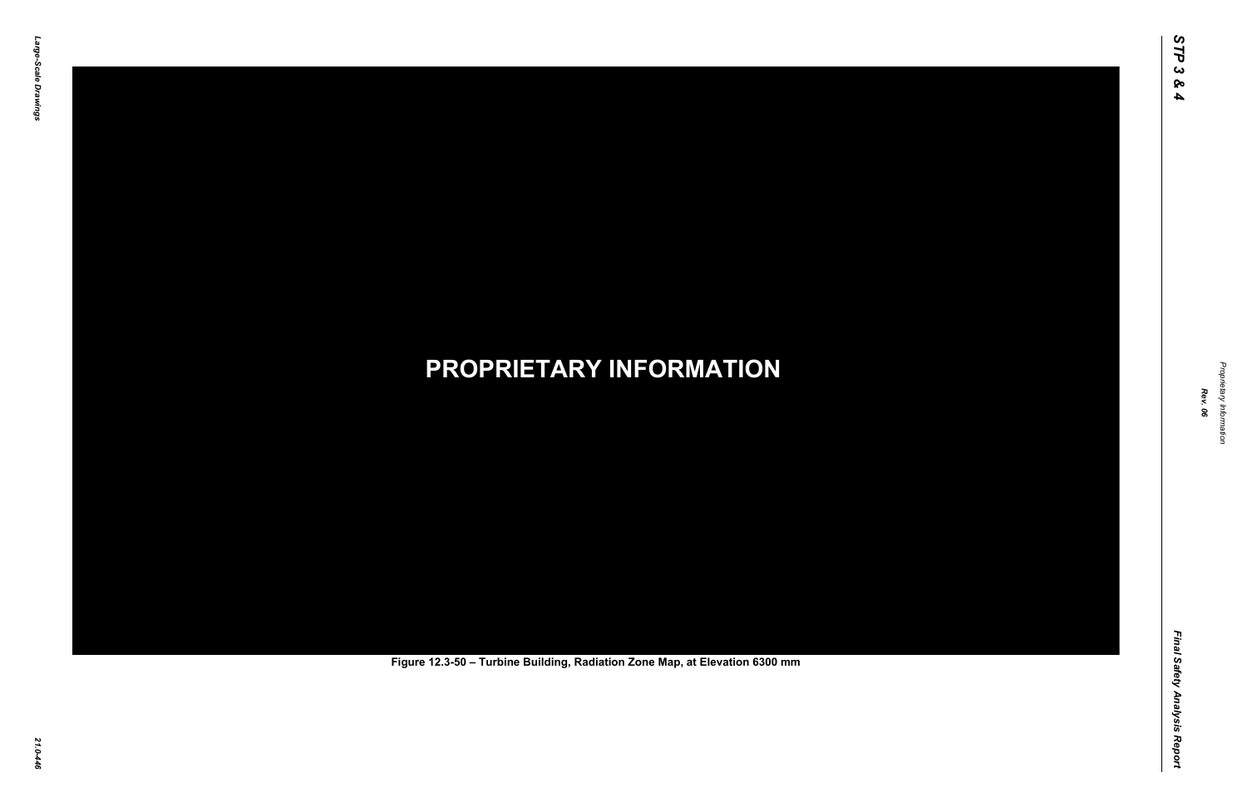Final Safety Analysis Report *Final Safety Analysis Report*



Proprietary Information *Proprietary Information*

# *21.0-446* **PROPRIETARY INFORMATION Figure 12.3-50 – Turbine Building, Radiation Zone Map, at Elevation 6300 mm**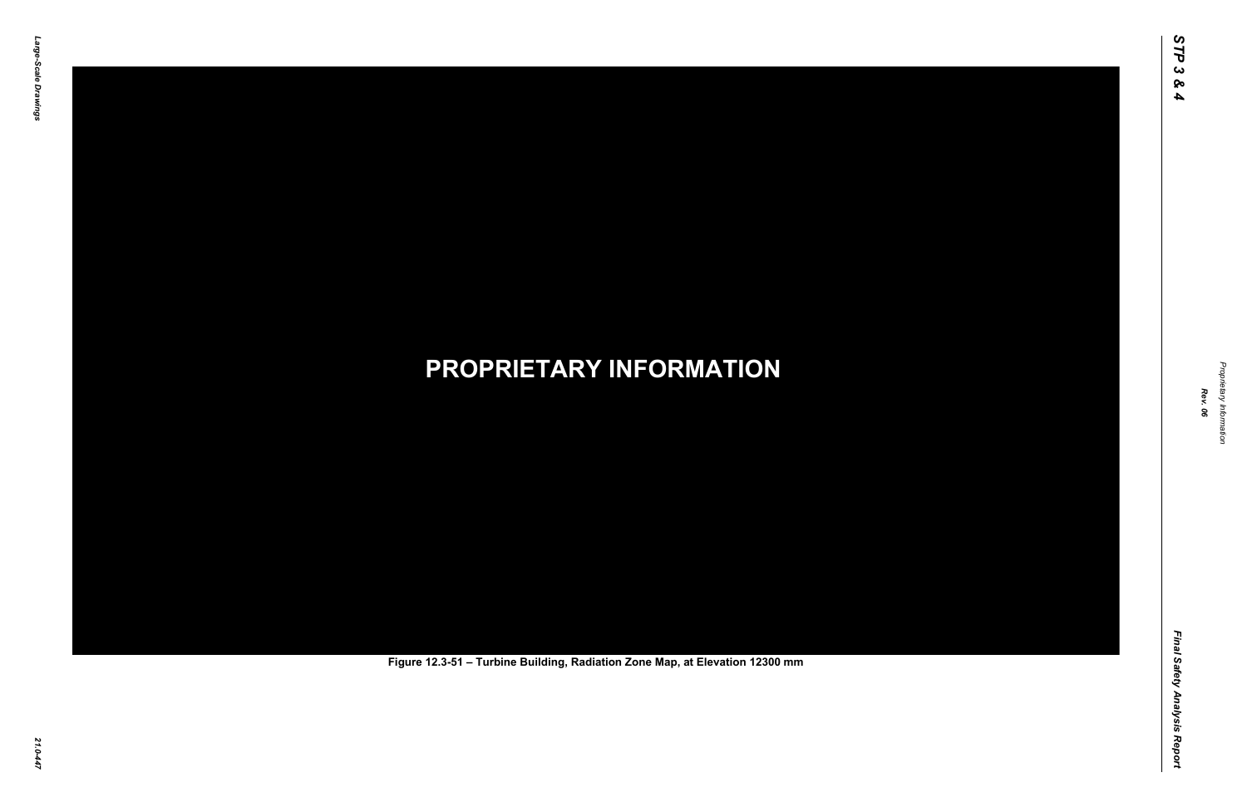Final Safety Analysis Report *Final Safety Analysis Report*



Proprietary Information *Proprietary Information*

# *21.0-447* **PROPRIETARY INFORMATION Figure 12.3-51 – Turbine Building, Radiation Zone Map, at Elevation 12300 mm**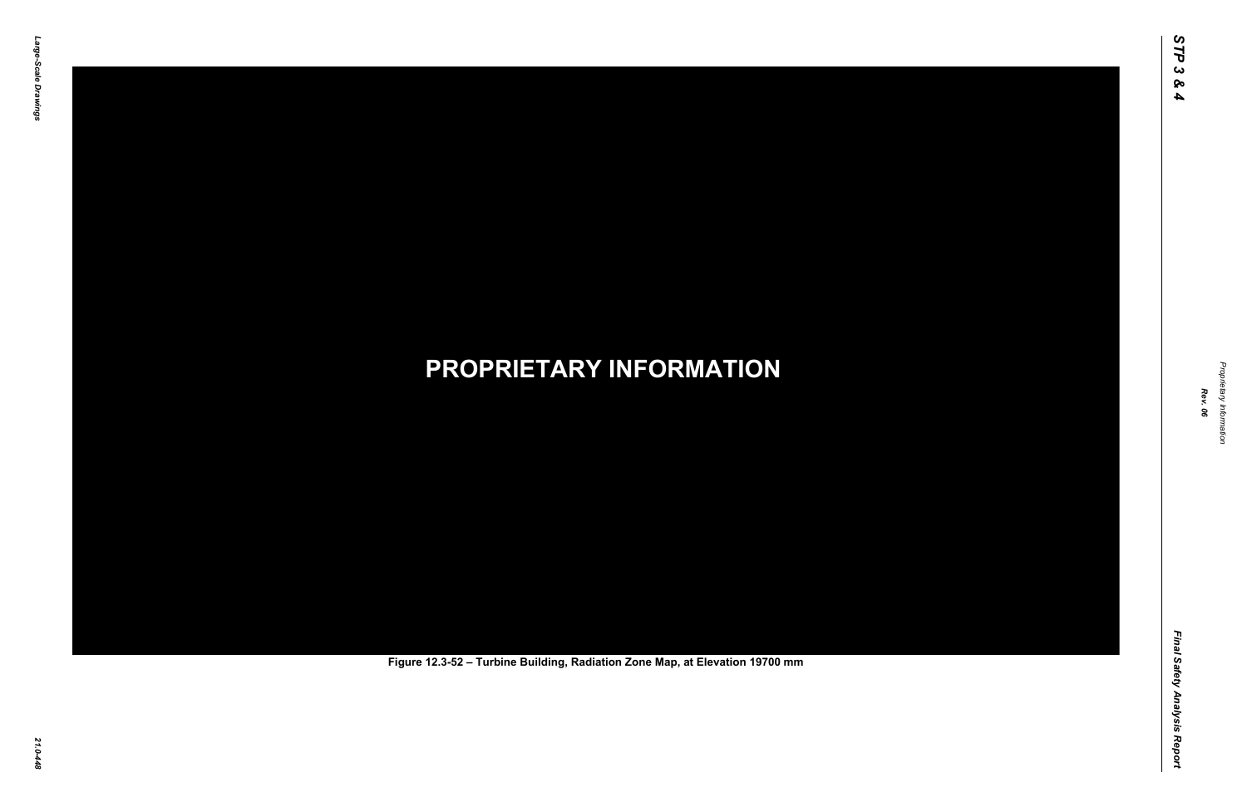Final Safety Analysis Report *Final Safety Analysis Report*



Proprietary Information *Proprietary Information*

# *21.0-448* **PROPRIETARY INFORMATION Figure 12.3-52 – Turbine Building, Radiation Zone Map, at Elevation 19700 mm**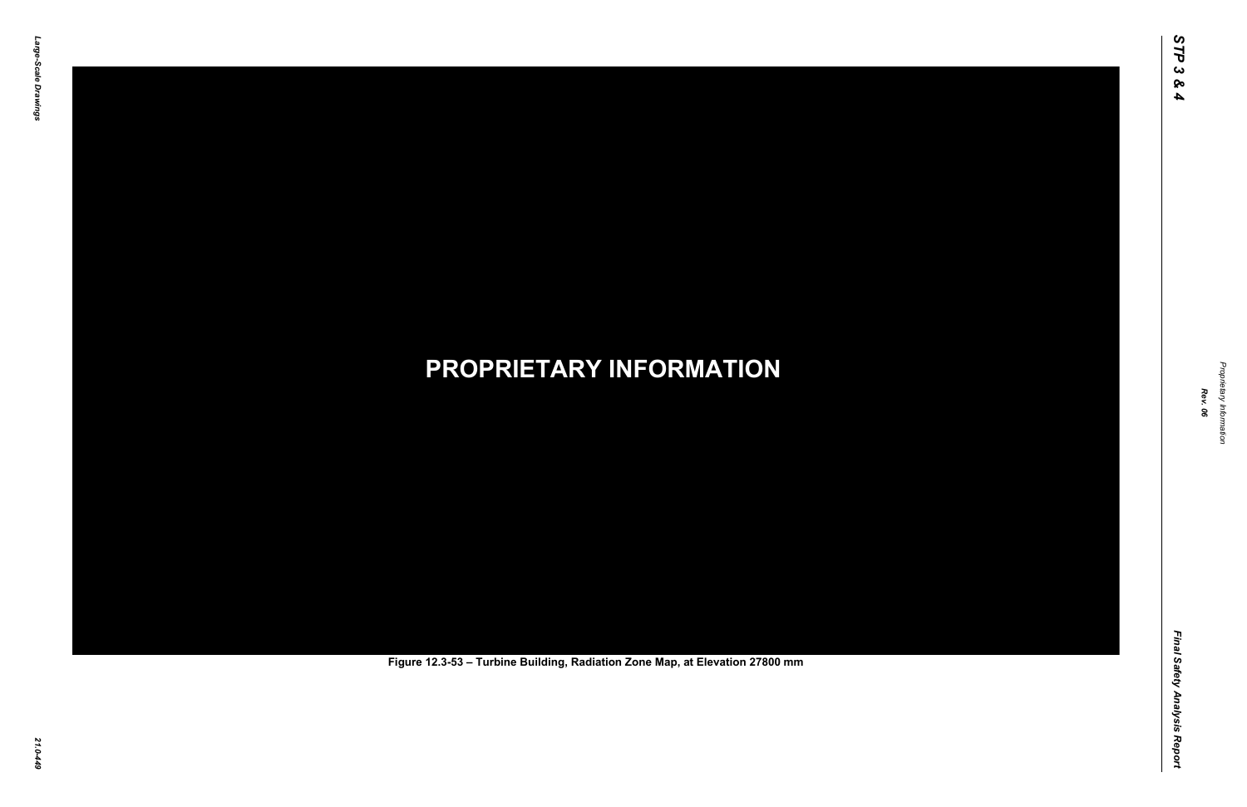Final Safety Analysis Report *Final Safety Analysis Report*



Proprietary Information *Proprietary Information*

# *21.0-449* **PROPRIETARY INFORMATION Figure 12.3-53 – Turbine Building, Radiation Zone Map, at Elevation 27800 mm**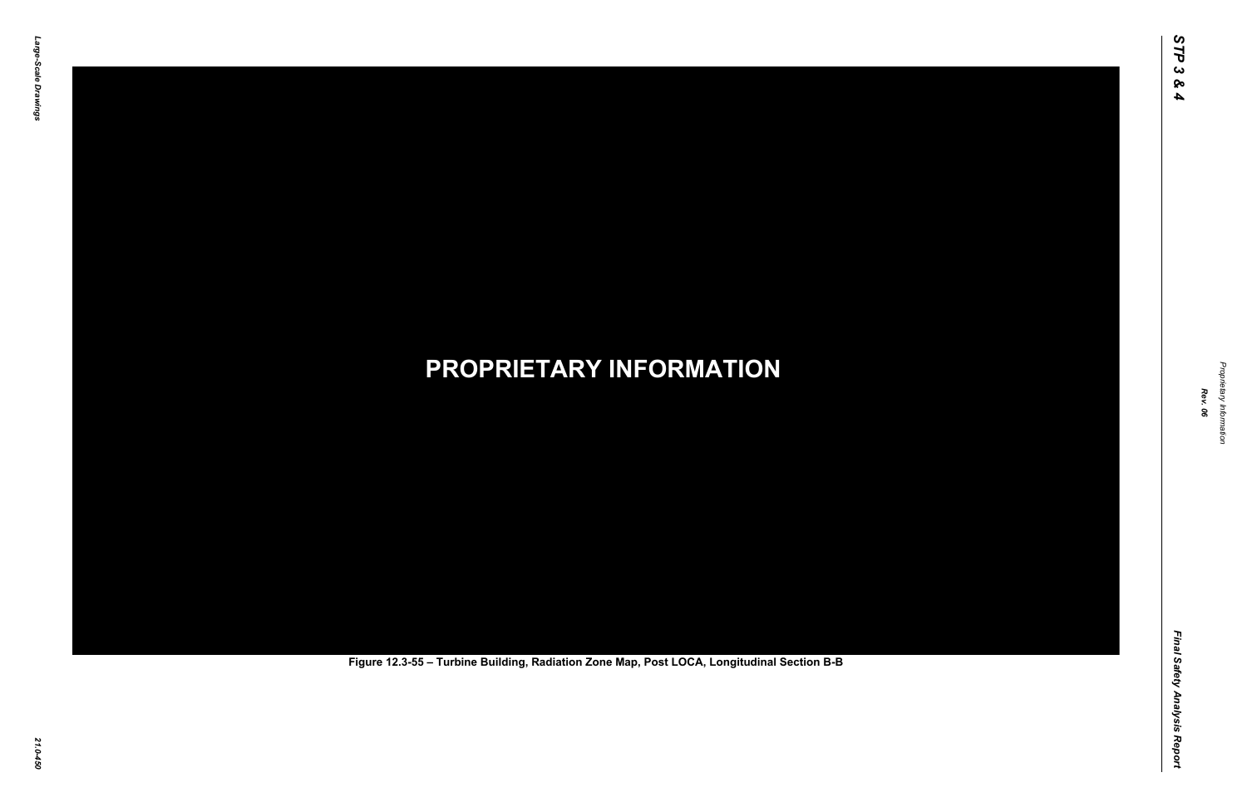Final Safety Analysis Report *Final Safety Analysis Report*



Proprietary Information *Proprietary Information*

# *21.0-450* **PROPRIETARY INFORMATION Figure 12.3-55 – Turbine Building, Radiation Zone Map, Post LOCA, Longitudinal Section B-B**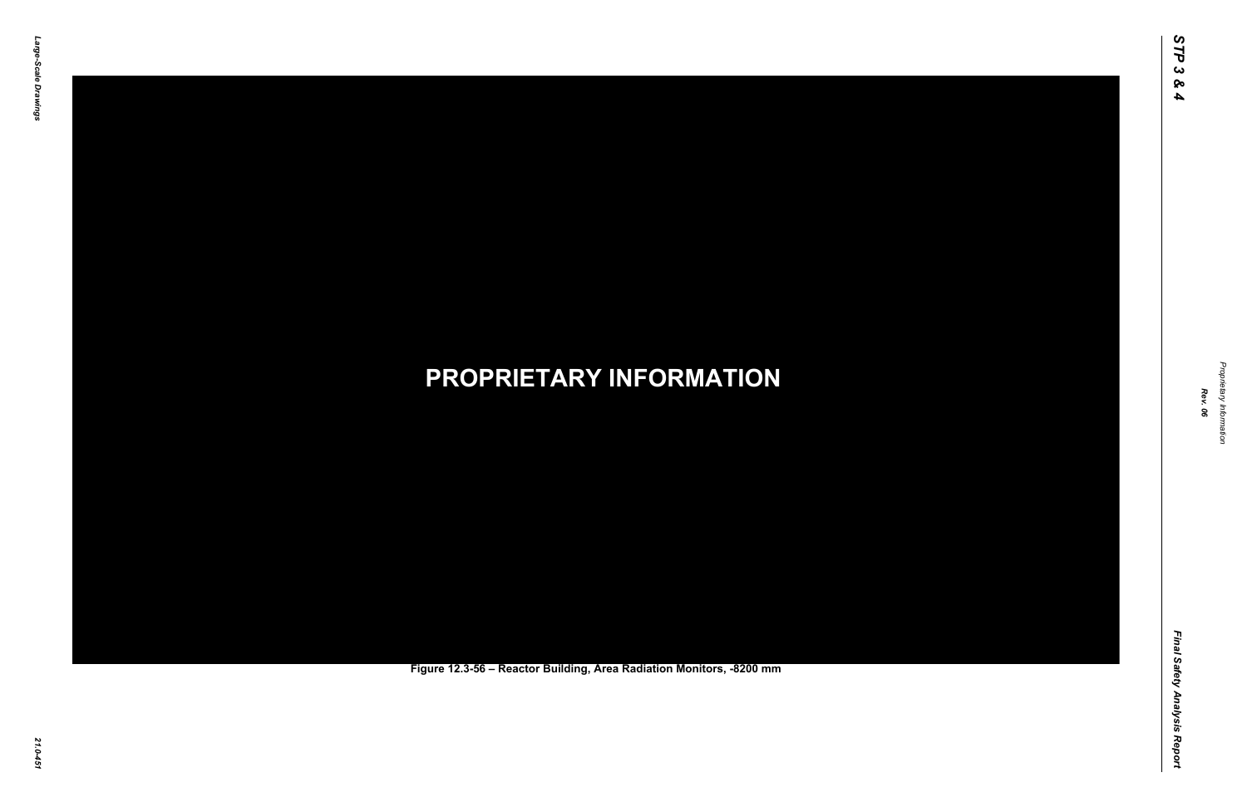Final Safety Analysis Report *Final Safety Analysis Report*



Proprietary Information *Proprietary Information*

### *21.0-451* **PROPRIETARY INFORMATION Figure 12.3-56 – Reactor Building, Area Radiation Monitors, -8200 mm**